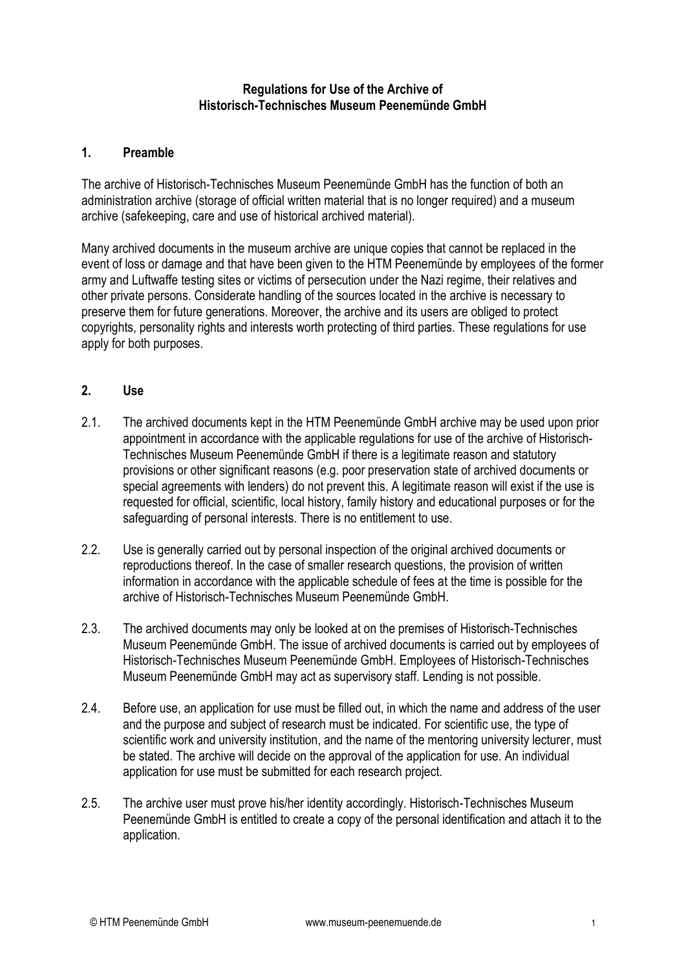#### **Regulations for Use of the Archive of Historisch-Technisches Museum Peenemünde GmbH**

# **1. Preamble**

The archive of Historisch-Technisches Museum Peenemünde GmbH has the function of both an administration archive (storage of official written material that is no longer required) and a museum archive (safekeeping, care and use of historical archived material).

Many archived documents in the museum archive are unique copies that cannot be replaced in the event of loss or damage and that have been given to the HTM Peenemünde by employees of the former army and Luftwaffe testing sites or victims of persecution under the Nazi regime, their relatives and other private persons. Considerate handling of the sources located in the archive is necessary to preserve them for future generations. Moreover, the archive and its users are obliged to protect copyrights, personality rights and interests worth protecting of third parties. These regulations for use apply for both purposes.

#### **2. Use**

- 2.1. The archived documents kept in the HTM Peenemünde GmbH archive may be used upon prior appointment in accordance with the applicable regulations for use of the archive of Historisch-Technisches Museum Peenemünde GmbH if there is a legitimate reason and statutory provisions or other significant reasons (e.g. poor preservation state of archived documents or special agreements with lenders) do not prevent this. A legitimate reason will exist if the use is requested for official, scientific, local history, family history and educational purposes or for the safeguarding of personal interests. There is no entitlement to use.
- 2.2. Use is generally carried out by personal inspection of the original archived documents or reproductions thereof. In the case of smaller research questions, the provision of written information in accordance with the applicable schedule of fees at the time is possible for the archive of Historisch-Technisches Museum Peenemünde GmbH.
- 2.3. The archived documents may only be looked at on the premises of Historisch-Technisches Museum Peenemünde GmbH. The issue of archived documents is carried out by employees of Historisch-Technisches Museum Peenemünde GmbH. Employees of Historisch-Technisches Museum Peenemünde GmbH may act as supervisory staff. Lending is not possible.
- 2.4. Before use, an application for use must be filled out, in which the name and address of the user and the purpose and subject of research must be indicated. For scientific use, the type of scientific work and university institution, and the name of the mentoring university lecturer, must be stated. The archive will decide on the approval of the application for use. An individual application for use must be submitted for each research project.
- 2.5. The archive user must prove his/her identity accordingly. Historisch-Technisches Museum Peenemünde GmbH is entitled to create a copy of the personal identification and attach it to the application.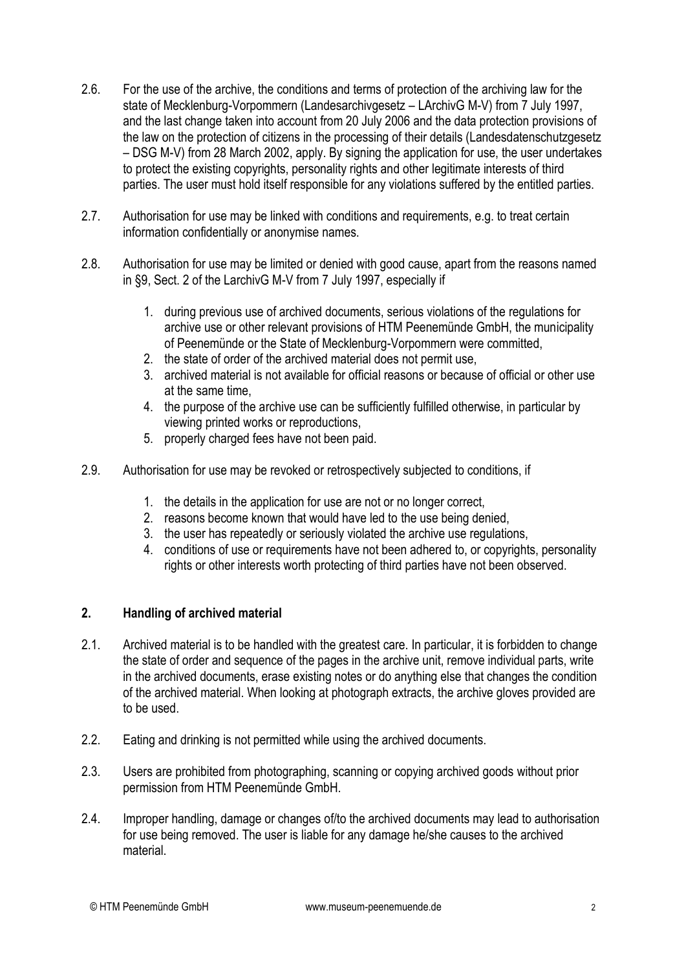- 2.6. For the use of the archive, the conditions and terms of protection of the archiving law for the state of Mecklenburg-Vorpommern (Landesarchivgesetz – LArchivG M-V) from 7 July 1997, and the last change taken into account from 20 July 2006 and the data protection provisions of the law on the protection of citizens in the processing of their details (Landesdatenschutzgesetz – DSG M-V) from 28 March 2002, apply. By signing the application for use, the user undertakes to protect the existing copyrights, personality rights and other legitimate interests of third parties. The user must hold itself responsible for any violations suffered by the entitled parties.
- 2.7. Authorisation for use may be linked with conditions and requirements, e.g. to treat certain information confidentially or anonymise names.
- 2.8. Authorisation for use may be limited or denied with good cause, apart from the reasons named in §9, Sect. 2 of the LarchivG M-V from 7 July 1997, especially if
	- 1. during previous use of archived documents, serious violations of the regulations for archive use or other relevant provisions of HTM Peenemünde GmbH, the municipality of Peenemünde or the State of Mecklenburg-Vorpommern were committed,
	- 2. the state of order of the archived material does not permit use,
	- 3. archived material is not available for official reasons or because of official or other use at the same time,
	- 4. the purpose of the archive use can be sufficiently fulfilled otherwise, in particular by viewing printed works or reproductions,
	- 5. properly charged fees have not been paid.
- 2.9. Authorisation for use may be revoked or retrospectively subjected to conditions, if
	- 1. the details in the application for use are not or no longer correct,
	- 2. reasons become known that would have led to the use being denied,
	- 3. the user has repeatedly or seriously violated the archive use regulations,
	- 4. conditions of use or requirements have not been adhered to, or copyrights, personality rights or other interests worth protecting of third parties have not been observed.

# **2. Handling of archived material**

- 2.1. Archived material is to be handled with the greatest care. In particular, it is forbidden to change the state of order and sequence of the pages in the archive unit, remove individual parts, write in the archived documents, erase existing notes or do anything else that changes the condition of the archived material. When looking at photograph extracts, the archive gloves provided are to be used.
- 2.2. Eating and drinking is not permitted while using the archived documents.
- 2.3. Users are prohibited from photographing, scanning or copying archived goods without prior permission from HTM Peenemünde GmbH.
- 2.4. Improper handling, damage or changes of/to the archived documents may lead to authorisation for use being removed. The user is liable for any damage he/she causes to the archived material.